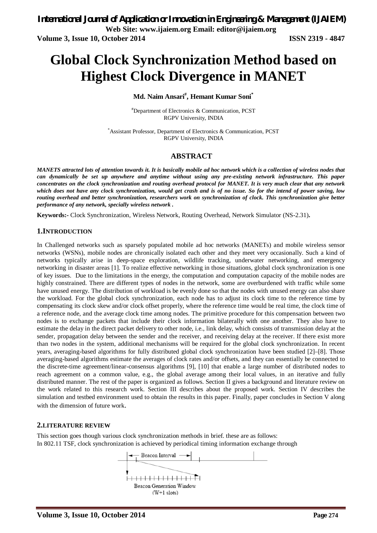# **Global Clock Synchronization Method based on Highest Clock Divergence in MANET**

## **Md. Naim Ansari# , Hemant Kumar Soni\***

#Department of Electronics & Communication, PCST RGPV University, INDIA

\*Assistant Professor, Department of Electronics & Communication, PCST RGPV University, INDIA

## **ABSTRACT**

*MANETS attracted lots of attention towards it. It is basically mobile ad hoc network which is a collection of wireless nodes that can dynamically be set up anywhere and anytime without using any pre-existing network infrastructure. This paper concentrates on the clock synchronization and routing overhead protocol for MANET. It is very much clear that any network which does not have any clock synchronization, would get crash and is of no issue. So for the intend of power saving, low routing overhead and better synchronization, researchers work on synchronization of clock. This synchronization give better performance of any network, specially wireless network .*

**Keywords:-** Clock Synchronization, Wireless Network, Routing Overhead, Network Simulator (NS-2.31)**.**

#### **1.INTRODUCTION**

In Challenged networks such as sparsely populated mobile ad hoc networks (MANETs) and mobile wireless sensor networks (WSNs), mobile nodes are chronically isolated each other and they meet very occasionally. Such a kind of networks typically arise in deep-space exploration, wildlife tracking, underwater networking, and emergency networking in disaster areas [1]. To realize effective networking in those situations, global clock synchronization is one of key issues. Due to the limitations in the energy, the computation and computation capacity of the mobile nodes are highly constrained. There are different types of nodes in the network, some are overburdened with traffic while some have unused energy. The distribution of workload is be evenly done so that the nodes with unused energy can also share the workload. For the global clock synchronization, each node has to adjust its clock time to the reference time by compensating its clock skew and/or clock offset properly, where the reference time would be real time, the clock time of a reference node, and the average clock time among nodes. The primitive procedure for this compensation between two nodes is to exchange packets that include their clock information bilaterally with one another. They also have to estimate the delay in the direct packet delivery to other node, i.e., link delay, which consists of transmission delay at the sender, propagation delay between the sender and the receiver, and receiving delay at the receiver. If there exist more than two nodes in the system, additional mechanisms will be required for the global clock synchronization. In recent years, averaging-based algorithms for fully distributed global clock synchronization have been studied [2]–[8]. Those averaging-based algorithms estimate the averages of clock rates and/or offsets, and they can essentially be connected to the discrete-time agreement/linear-consensus algorithms [9], [10] that enable a large number of distributed nodes to reach agreement on a common value, e.g., the global average among their local values, in an iterative and fully distributed manner. The rest of the paper is organized as follows. Section II gives a background and literature review on the work related to this research work. Section III describes about the proposed work. Section IV describes the simulation and testbed environment used to obtain the results in this paper. Finally, paper concludes in Section V along with the dimension of future work.

### **2.LITERATURE REVIEW**

This section goes though various clock synchronization methods in brief. these are as follows: In 802.11 TSF, clock synchronization is achieved by periodical timing information exchange through

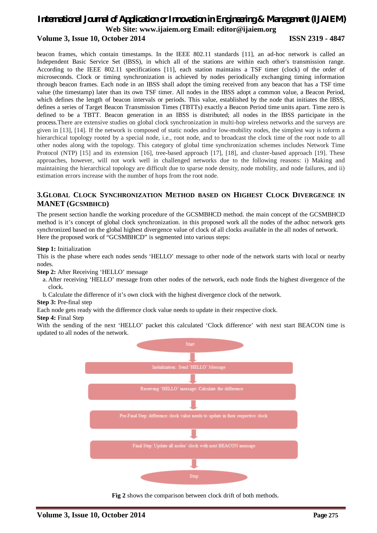beacon frames, which contain timestamps. In the IEEE 802.11 standards [11], an ad-hoc network is called an Independent Basic Service Set (IBSS), in which all of the stations are within each other's transmission range. According to the IEEE 802.11 specifications [11], each station maintains a TSF timer (clock) of the order of microseconds. Clock or timing synchronization is achieved by nodes periodically exchanging timing information through beacon frames. Each node in an IBSS shall adopt the timing received from any beacon that has a TSF time value (the timestamp) later than its own TSF timer. All nodes in the IBSS adopt a common value, a Beacon Period, which defines the length of beacon intervals or periods. This value, established by the node that initiates the IBSS, defines a series of Target Beacon Transmission Times (TBTTs) exactly a Beacon Period time units apart. Time zero is defined to be a TBTT. Beacon generation in an IBSS is distributed; all nodes in the IBSS participate in the process.There are extensive studies on global clock synchronization in multi-hop wireless networks and the surveys are given in [13], [14]. If the network is composed of static nodes and/or low-mobility nodes, the simplest way is toform a hierarchical topology rooted by a special node, i.e., root node, and to broadcast the clock time of the root node to all other nodes along with the topology. This category of global time synchronization schemes includes Network Time Protocol (NTP) [15] and its extension [16], tree-based approach [17], [18], and cluster-based approach [19]. These approaches, however, will not work well in challenged networks due to the following reasons: i) Making and maintaining the hierarchical topology are difficult due to sparse node density, node mobility, and node failures, and ii) estimation errors increase with the number of hops from the root node.

## **3.GLOBAL CLOCK SYNCHRONIZATION METHOD BASED ON HIGHEST CLOCK DIVERGENCE IN MANET (GCSMBHCD)**

The present section handle the working procedure of the GCSMBHCD method. the main concept of the GCSMBHCD method is it's concept of global clock synchronization. in this proposed work all the nodes of the adhoc network gets synchronized based on the global highest divergence value of clock of all clocks available in the all nodes of network. Here the proposed work of "GCSMBHCD" is segmented into various steps:

## **Step 1:** Initialization

This is the phase where each nodes sends 'HELLO' message to other node of the network starts with local or nearby nodes.

**Step 2:** After Receiving 'HELLO' message

- a. After receiving 'HELLO' message from other nodes of the network, each node finds the highest divergence of the clock.
- b.Calculate the difference of it's own clock with the highest divergence clock of the network.

**Step 3:** Pre-final step

Each node gets ready with the difference clock value needs to update in their respective clock.

#### **Step 4:** Final Step

With the sending of the next 'HELLO' packet this calculated 'Clock difference' with next start BEACON time is updated to all nodes of the network.



**Fig 2** shows the comparison between clock drift of both methods.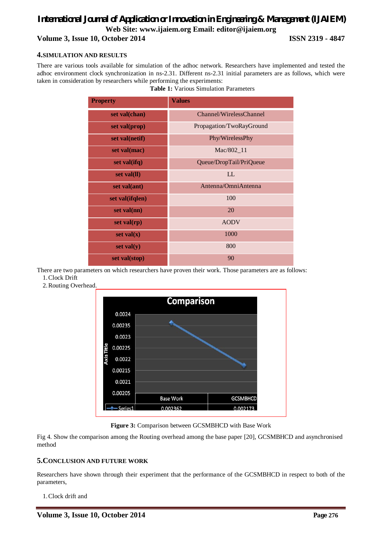## **4.SIMULATION AND RESULTS**

There are various tools available for simulation of the adhoc network. Researchers have implemented and tested the adhoc environment clock synchronization in ns-2.31. Different ns-2.31 initial parameters are as follows, which were taken in consideration by researchers while performing the experiments:

| <b>Property</b> | <b>Values</b>            |
|-----------------|--------------------------|
| set val(chan)   | Channel/WirelessChannel  |
| set val(prop)   | Propagation/TwoRayGround |
| set val(netif)  | Phy/WirelessPhy          |
| set val(mac)    | Mac/802_11               |
| set val(ifq)    | Queue/DropTail/PriQueue  |
| set val(ll)     | LL                       |
| set val(ant)    | Antenna/OmniAntenna      |
| set val(ifqlen) | 100                      |
| $set$ val(nn)   | 20                       |
| set $val(rp)$   | <b>AODV</b>              |
| set $val(x)$    | 1000                     |
| set $val(y)$    | 800                      |
| set val(stop)   | 90                       |

**Table 1:** Various Simulation Parameters

There are two parameters on which researchers have proven their work. Those parameters are as follows: 1.Clock Drift

2.Routing Overhead.



**Figure 3:** Comparison between GCSMBHCD with Base Work

Fig 4. Show the comparison among the Routing overhead among the base paper [20], GCSMBHCD and asynchronised method

## **5.CONCLUSION AND FUTURE WORK**

Researchers have shown through their experiment that the performance of the GCSMBHCD in respect to both of the parameters,

1.Clock drift and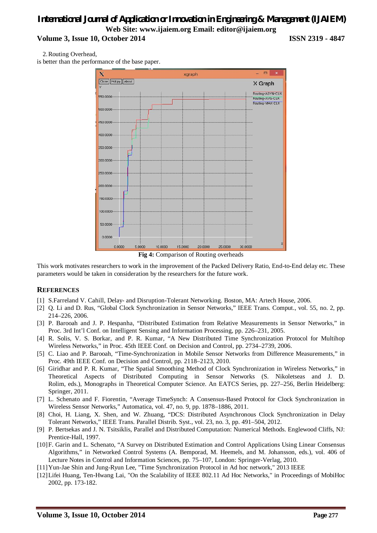2.Routing Overhead,

is better than the performance of the base paper.



**Fig 4:** Comparison of Routing overheads

This work motivates researchers to work in the improvement of the Packed Delivery Ratio, End-to-End delay etc. These parameters would be taken in consideration by the researchers for the future work.

#### **REFERENCES**

- [1] S.Farreland V. Cahill, Delay- and Disruption-Tolerant Networking. Boston, MA: Artech House, 2006.
- [2] Q. Li and D. Rus, "Global Clock Synchronization in Sensor Networks," IEEE Trans. Comput., vol. 55, no. 2, pp. 214–226, 2006.
- [3] P. Barooah and J. P. Hespanha, "Distributed Estimation from Relative Measurements in Sensor Networks," in Proc. 3rd Int'l Conf. on Intelligent Sensing and Information Processing, pp. 226–231, 2005.
- [4] R. Solis, V. S. Borkar, and P. R. Kumar, "A New Distributed Time Synchronization Protocol for Multihop Wireless Networks," in Proc. 45th IEEE Conf. on Decision and Control, pp. 2734–2739, 2006.
- [5] C. Liao and P. Barooah, "Time-Synchronization in Mobile Sensor Networks from Difference Measurements," in Proc. 49th IEEE Conf. on Decision and Control, pp. 2118–2123, 2010.
- [6] Giridhar and P. R. Kumar, "The Spatial Smoothing Method of Clock Synchronization in Wireless Networks," in Theoretical Aspects of Distributed Computing in Sensor Networks (S. Nikoletseas and J. D. Rolim, eds.), Monographs in Theoretical Computer Science. An EATCS Series, pp. 227–256, Berlin Heidelberg: Springer, 2011.
- [7] L. Schenato and F. Fiorentin, "Average TimeSynch: A Consensus-Based Protocol for Clock Synchronization in Wireless Sensor Networks," Automatica, vol. 47, no. 9, pp. 1878–1886, 2011.
- [8] Choi, H. Liang, X. Shen, and W. Zhuang, "DCS: Distributed Asynchronous Clock Synchronization in Delay Tolerant Networks," IEEE Trans. Parallel Distrib. Syst., vol. 23, no. 3, pp. 491–504, 2012.
- [9] P. Bertsekas and J. N. Tsitsiklis, Parallel and Distributed Computation: Numerical Methods. Englewood Cliffs, NJ: Prentice-Hall, 1997.
- [10]F. Garin and L. Schenato, "A Survey on Distributed Estimation and Control Applications Using Linear Consensus Algorithms," in Networked Control Systems (A. Bemporad, M. Heemels, and M. Johansson, eds.), vol. 406 of Lecture Notes in Control and Information Sciences, pp. 75–107, London: Springer-Verlag, 2010.
- [11]Yun-Jae Shin and Jung-Ryun Lee, "Time Synchronization Protocol in Ad hoc network," 2013 IEEE
- [12]Lifei Huang, Ten-Hwang Lai, "On the Scalability of IEEE 802.11 Ad Hoc Networks," in Proceedings of MobiHoc 2002, pp. 173-182.